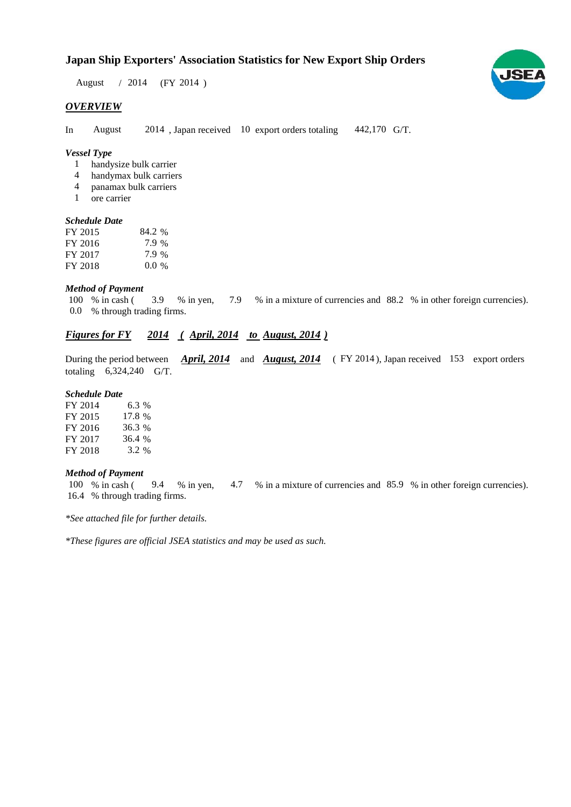August / 2014 (FY 2014)

# *OVERVIEW*

In August 2014, Japan received 10 export orders totaling 442,170 G/T.

## *Vessel Type*

- handysize bulk carrier 1
- handymax bulk carriers 4
- panamax bulk carriers 4
- ore carrier 1

### *Schedule Date*

| 84.2 %  |
|---------|
| 7.9 %   |
| 7.9 %   |
| $0.0\%$ |
|         |

### *Method of Payment*

% in cash (3.9 % in yen, 7.9 % in a mixture of currencies and 88.2 % in other foreign currencies). 0.0 % through trading firms. 3.9 % in yen, 100 % in cash (

# *Figures for FY* 2014 (*April, 2014 to August, 2014*)

During the period between *April, 2014* and *August, 2014* (FY 2014), Japan received 153 export orders totaling  $6,324,240$  G/T.

# *Schedule Date*

| FY 2014 | $6.3\%$ |
|---------|---------|
| FY 2015 | 17.8 %  |
| FY 2016 | 36.3 %  |
| FY 2017 | 36.4 %  |
| FY 2018 | 3.2 %   |

#### *Method of Payment*

% in cash ( 9.4 % in yen, 4.7 % in a mixture of currencies and 85.9 % in other foreign currencies). 16.4 % through trading firms. 100 % in cash (

*\*See attached file for further details.*

*\*These figures are official JSEA statistics and may be used as such.*

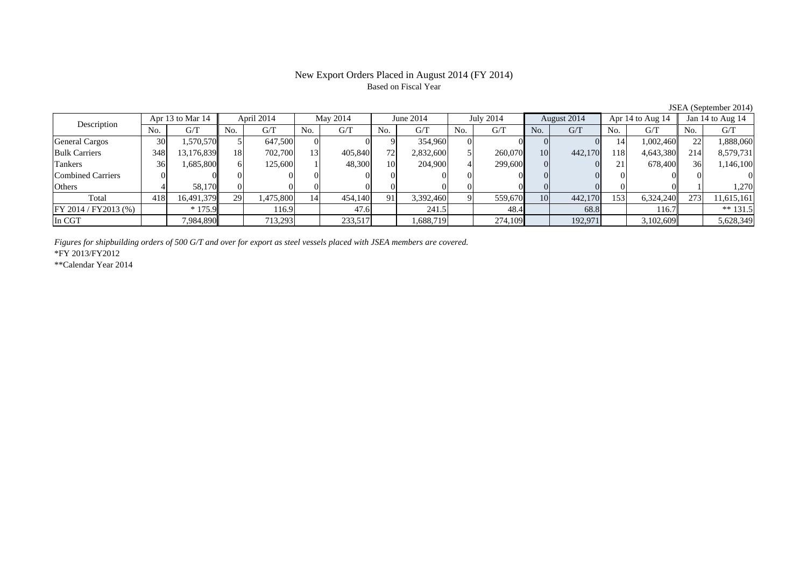### New Export Orders Placed in August 2014 (FY 2014) Based on Fiscal Year

No. G/T No. G/T No. G/T No. G/T No. G/T No. G/T No. G/T No. G/TGeneral Cargos 30 1,570,570 5 647,500 0 0 9 354,960 0 0 0 0 14 1,002,460 22 1,888,060 Bulk Carriers | 348 13,176,839 18 702,700 13 405,840 72 2,832,600 5 260,070 10 442,170 118 4,643,380 214 8,579,731 Tankers | 36| 1,685,800|| 6| 125,600| 1| 48,300| 10| 204,900| 4| 299,600| 0| 0| 21| 678,400|| 36| 1,146,100 Combined Carriers 0 0 0 0 0 0 0 0 0 0 0 0 0 0 0 0Others 4 58,170 0 0 0 0 0 0 0 0 0 0 0 0 1 1,270 Total 418 16,491,379 29 1,475,800 14 454,140 91 3,392,460 9 559,670 10 442,170 153 6,324,240 273 11,615,161 FY 2014 / FY2013 (%) \* 175.9 116.9 116.9 17.6 241.5 48.4 68.8 116.7 \*\* 131.5 In CGT 7,984,890 713,293 233,517 1,688,719 274,109 192,971 3,102,609 5,628,349 Description Apr 13 to Mar 14 | April 2014 | May 2014 | June 2014 | July 2014 August 2014 | Apr 14 to Aug 14 | Jan 14 to Aug 14

*Figures for shipbuilding orders of 500 G/T and over for export as steel vessels placed with JSEA members are covered.*

\*FY 2013/FY2012

\*\*Calendar Year 2014

JSEA (September 2014)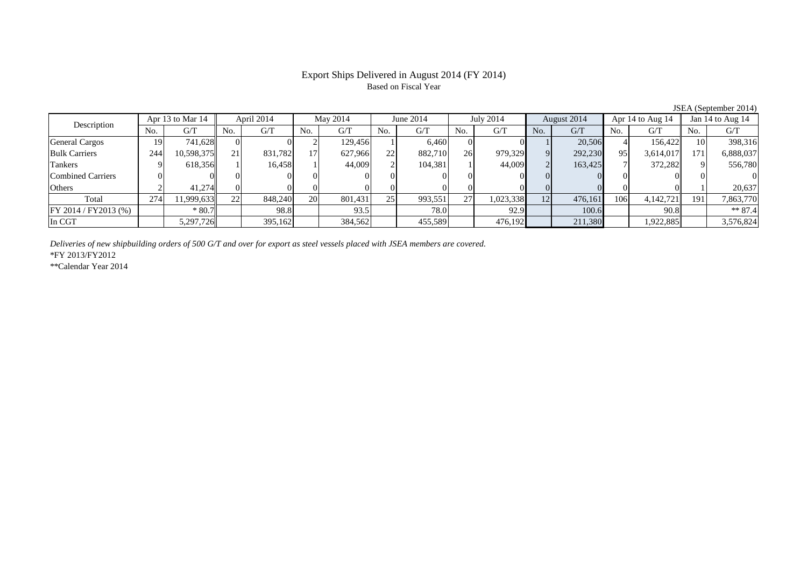# Export Ships Delivered in August 2014 (FY 2014) Based on Fiscal Year

JSEA (September 2014)

| Description             | Apr 13 to Mar 14 |            | April 2014 |         | May 2014 |         | June 2014      |         | July 2014 |           | August 2014 |         | Apr $14$ to Aug $14$ |           | Jan 14 to Aug 14 |           |
|-------------------------|------------------|------------|------------|---------|----------|---------|----------------|---------|-----------|-----------|-------------|---------|----------------------|-----------|------------------|-----------|
|                         | No.              | G/T        | No.        | G/T     | No.      | G/T     | N <sub>0</sub> | G/T     | No.       | G/T       | No.         | G/T     | No.                  | G/T       | No.              | G/T       |
| <b>General Cargos</b>   | 19               | 741.628    | 01         |         |          | 129.456 |                | 6.460   |           |           |             | 20.506  |                      | 156,422   |                  | 398,316   |
| <b>Bulk Carriers</b>    | 244              | 10,598,375 | 21         | 831,782 | 17       | 627,966 | 22             | 882.710 | 26        | 979,329   |             | 292,230 | 95                   | 3,614,017 | 171              | 6,888,037 |
| Tankers                 |                  | 618.356    |            | 16,458  |          | 44,009  |                | 104,381 |           | 44,009    |             | 163,425 |                      | 372,282   |                  | 556,780   |
| Combined Carriers       |                  |            |            |         |          |         |                |         |           |           |             |         |                      |           |                  |           |
| Others                  |                  | 41,274     | 01         |         |          |         |                |         |           |           |             |         |                      |           |                  | 20.637    |
| Total                   | 274              | 1,999,633  | 22         | 848,240 | 20       | 801,431 | 25             | 993,551 | 27        | 1,023,338 | 12          | 476,161 | 106                  | 4,142,721 | 191              | 7,863,770 |
| $FY 2014 / FY 2013$ (%) |                  | $*80.7$    |            | 98.8    |          | 93.5    |                | 78.0    |           | 92.9      |             | 100.6   |                      | 90.8      |                  | $** 87.4$ |
| In CGT                  |                  | 5,297,726  |            | 395,162 |          | 384,562 |                | 455,589 |           | 476,192   |             | 211,380 |                      | 1,922,885 |                  | 3,576,824 |

*Deliveries of new shipbuilding orders of 500 G/T and over for export as steel vessels placed with JSEA members are covered.*

\*FY 2013/FY2012

\*\*Calendar Year 2014